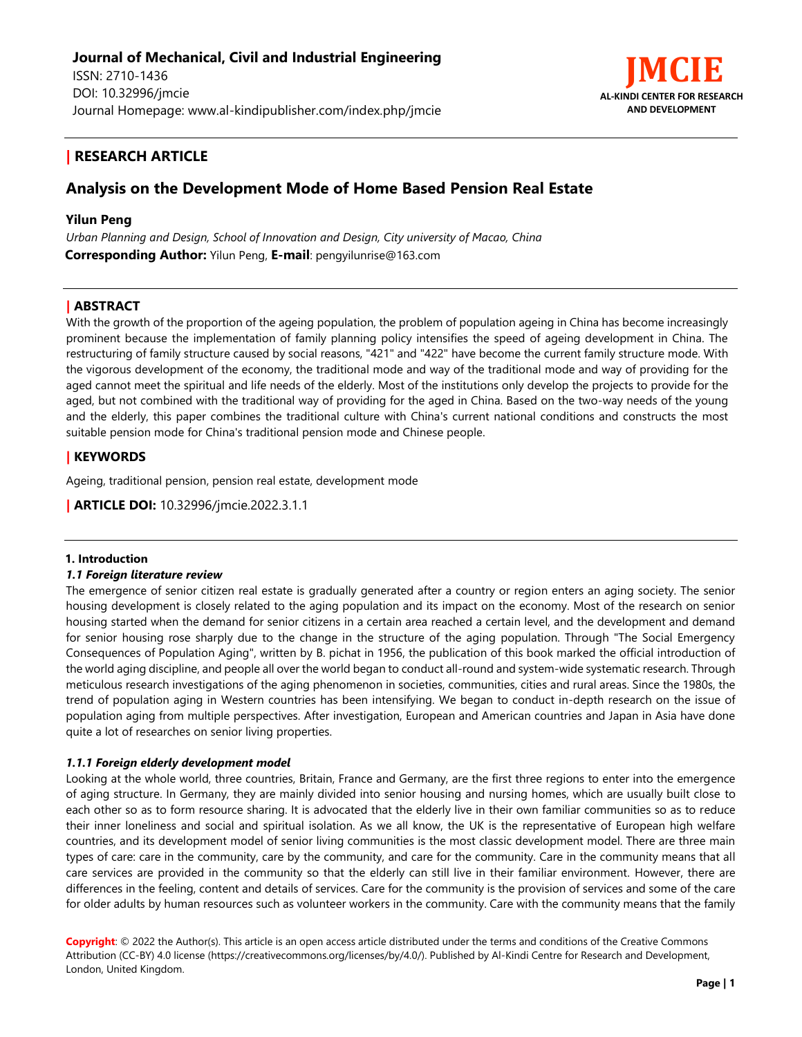

# **| RESEARCH ARTICLE**

# **Analysis on the Development Mode of Home Based Pension Real Estate**

## **Yilun Peng**

*Urban Planning and Design, School of Innovation and Design, City university of Macao, China* **Corresponding Author:** Yilun Peng, **E-mail**: pengyilunrise@163.com

# **| ABSTRACT**

With the growth of the proportion of the ageing population, the problem of population ageing in China has become increasingly prominent because the implementation of family planning policy intensifies the speed of ageing development in China. The restructuring of family structure caused by social reasons, "421" and "422" have become the current family structure mode. With the vigorous development of the economy, the traditional mode and way of the traditional mode and way of providing for the aged cannot meet the spiritual and life needs of the elderly. Most of the institutions only develop the projects to provide for the aged, but not combined with the traditional way of providing for the aged in China. Based on the two-way needs of the young and the elderly, this paper combines the traditional culture with China's current national conditions and constructs the most suitable pension mode for China's traditional pension mode and Chinese people.

# **| KEYWORDS**

Ageing, traditional pension, pension real estate, development mode

**| ARTICLE DOI:** 10.32996/jmcie.2022.3.1.1

## **1. Introduction**

## *1.1 Foreign literature review*

The emergence of senior citizen real estate is gradually generated after a country or region enters an aging society. The senior housing development is closely related to the aging population and its impact on the economy. Most of the research on senior housing started when the demand for senior citizens in a certain area reached a certain level, and the development and demand for senior housing rose sharply due to the change in the structure of the aging population. Through "The Social Emergency Consequences of Population Aging", written by B. pichat in 1956, the publication of this book marked the official introduction of the world aging discipline, and people all over the world began to conduct all-round and system-wide systematic research. Through meticulous research investigations of the aging phenomenon in societies, communities, cities and rural areas. Since the 1980s, the trend of population aging in Western countries has been intensifying. We began to conduct in-depth research on the issue of population aging from multiple perspectives. After investigation, European and American countries and Japan in Asia have done quite a lot of researches on senior living properties.

## *1.1.1 Foreign elderly development model*

Looking at the whole world, three countries, Britain, France and Germany, are the first three regions to enter into the emergence of aging structure. In Germany, they are mainly divided into senior housing and nursing homes, which are usually built close to each other so as to form resource sharing. It is advocated that the elderly live in their own familiar communities so as to reduce their inner loneliness and social and spiritual isolation. As we all know, the UK is the representative of European high welfare countries, and its development model of senior living communities is the most classic development model. There are three main types of care: care in the community, care by the community, and care for the community. Care in the community means that all care services are provided in the community so that the elderly can still live in their familiar environment. However, there are differences in the feeling, content and details of services. Care for the community is the provision of services and some of the care for older adults by human resources such as volunteer workers in the community. Care with the community means that the family

**Copyright**: © 2022 the Author(s). This article is an open access article distributed under the terms and conditions of the Creative Commons Attribution (CC-BY) 4.0 license (https://creativecommons.org/licenses/by/4.0/). Published by Al-Kindi Centre for Research and Development, London, United Kingdom.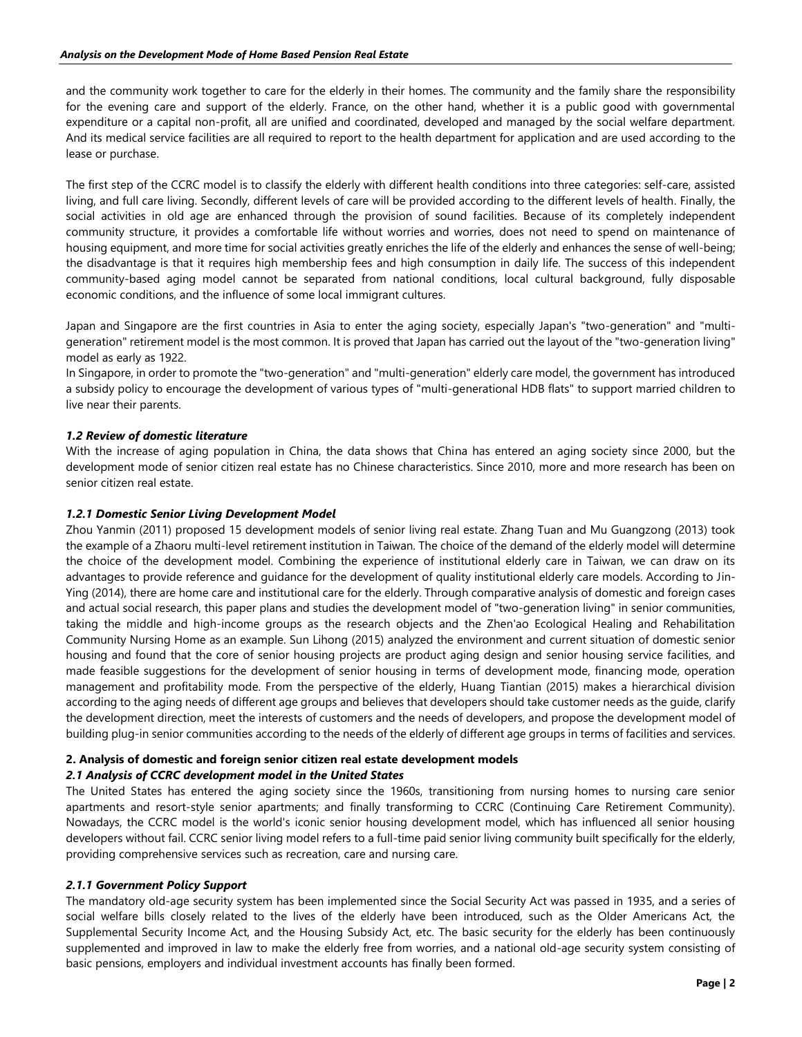and the community work together to care for the elderly in their homes. The community and the family share the responsibility for the evening care and support of the elderly. France, on the other hand, whether it is a public good with governmental expenditure or a capital non-profit, all are unified and coordinated, developed and managed by the social welfare department. And its medical service facilities are all required to report to the health department for application and are used according to the lease or purchase.

The first step of the CCRC model is to classify the elderly with different health conditions into three categories: self-care, assisted living, and full care living. Secondly, different levels of care will be provided according to the different levels of health. Finally, the social activities in old age are enhanced through the provision of sound facilities. Because of its completely independent community structure, it provides a comfortable life without worries and worries, does not need to spend on maintenance of housing equipment, and more time for social activities greatly enriches the life of the elderly and enhances the sense of well-being; the disadvantage is that it requires high membership fees and high consumption in daily life. The success of this independent community-based aging model cannot be separated from national conditions, local cultural background, fully disposable economic conditions, and the influence of some local immigrant cultures.

Japan and Singapore are the first countries in Asia to enter the aging society, especially Japan's "two-generation" and "multigeneration" retirement model is the most common. It is proved that Japan has carried out the layout of the "two-generation living" model as early as 1922.

In Singapore, in order to promote the "two-generation" and "multi-generation" elderly care model, the government has introduced a subsidy policy to encourage the development of various types of "multi-generational HDB flats" to support married children to live near their parents.

#### *1.2 Review of domestic literature*

With the increase of aging population in China, the data shows that China has entered an aging society since 2000, but the development mode of senior citizen real estate has no Chinese characteristics. Since 2010, more and more research has been on senior citizen real estate.

#### *1.2.1 Domestic Senior Living Development Model*

Zhou Yanmin (2011) proposed 15 development models of senior living real estate. Zhang Tuan and Mu Guangzong (2013) took the example of a Zhaoru multi-level retirement institution in Taiwan. The choice of the demand of the elderly model will determine the choice of the development model. Combining the experience of institutional elderly care in Taiwan, we can draw on its advantages to provide reference and guidance for the development of quality institutional elderly care models. According to Jin-Ying (2014), there are home care and institutional care for the elderly. Through comparative analysis of domestic and foreign cases and actual social research, this paper plans and studies the development model of "two-generation living" in senior communities, taking the middle and high-income groups as the research objects and the Zhen'ao Ecological Healing and Rehabilitation Community Nursing Home as an example. Sun Lihong (2015) analyzed the environment and current situation of domestic senior housing and found that the core of senior housing projects are product aging design and senior housing service facilities, and made feasible suggestions for the development of senior housing in terms of development mode, financing mode, operation management and profitability mode. From the perspective of the elderly, Huang Tiantian (2015) makes a hierarchical division according to the aging needs of different age groups and believes that developers should take customer needs as the guide, clarify the development direction, meet the interests of customers and the needs of developers, and propose the development model of building plug-in senior communities according to the needs of the elderly of different age groups in terms of facilities and services.

## **2. Analysis of domestic and foreign senior citizen real estate development models**

#### *2.1 Analysis of CCRC development model in the United States*

The United States has entered the aging society since the 1960s, transitioning from nursing homes to nursing care senior apartments and resort-style senior apartments; and finally transforming to CCRC (Continuing Care Retirement Community). Nowadays, the CCRC model is the world's iconic senior housing development model, which has influenced all senior housing developers without fail. CCRC senior living model refers to a full-time paid senior living community built specifically for the elderly, providing comprehensive services such as recreation, care and nursing care.

#### *2.1.1 Government Policy Support*

The mandatory old-age security system has been implemented since the Social Security Act was passed in 1935, and a series of social welfare bills closely related to the lives of the elderly have been introduced, such as the Older Americans Act, the Supplemental Security Income Act, and the Housing Subsidy Act, etc. The basic security for the elderly has been continuously supplemented and improved in law to make the elderly free from worries, and a national old-age security system consisting of basic pensions, employers and individual investment accounts has finally been formed.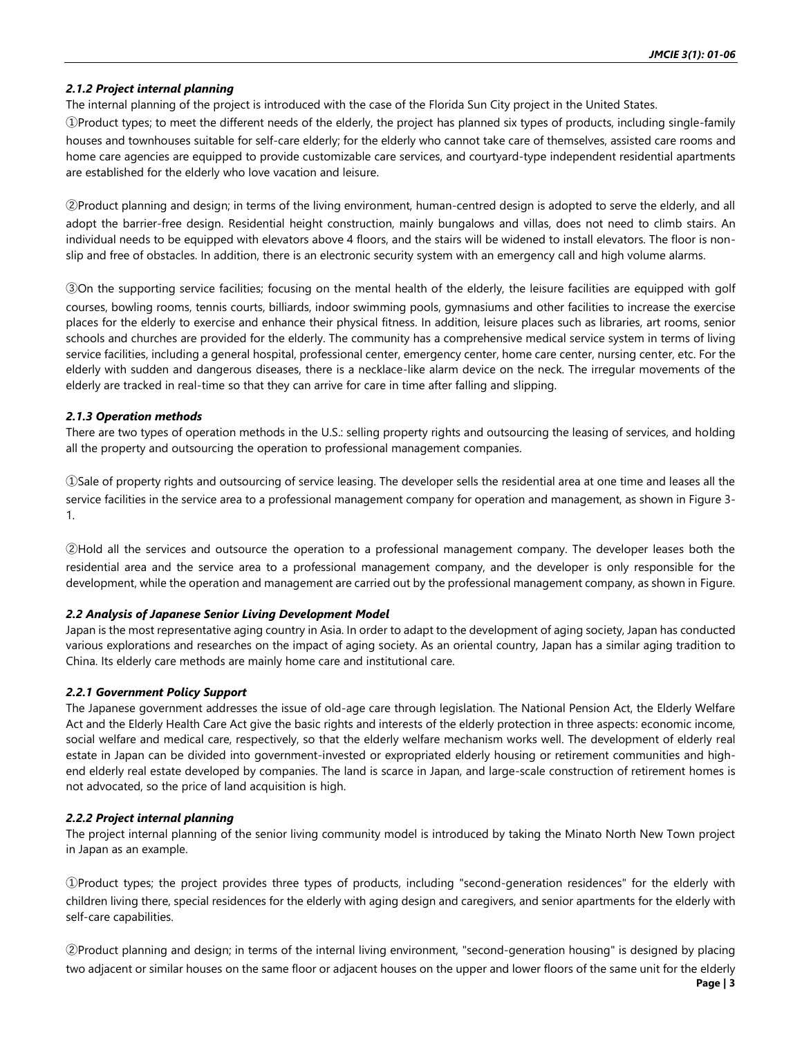#### *2.1.2 Project internal planning*

The internal planning of the project is introduced with the case of the Florida Sun City project in the United States.

①Product types; to meet the different needs of the elderly, the project has planned six types of products, including single-family houses and townhouses suitable for self-care elderly; for the elderly who cannot take care of themselves, assisted care rooms and home care agencies are equipped to provide customizable care services, and courtyard-type independent residential apartments are established for the elderly who love vacation and leisure.

②Product planning and design; in terms of the living environment, human-centred design is adopted to serve the elderly, and all adopt the barrier-free design. Residential height construction, mainly bungalows and villas, does not need to climb stairs. An individual needs to be equipped with elevators above 4 floors, and the stairs will be widened to install elevators. The floor is nonslip and free of obstacles. In addition, there is an electronic security system with an emergency call and high volume alarms.

③On the supporting service facilities; focusing on the mental health of the elderly, the leisure facilities are equipped with golf courses, bowling rooms, tennis courts, billiards, indoor swimming pools, gymnasiums and other facilities to increase the exercise places for the elderly to exercise and enhance their physical fitness. In addition, leisure places such as libraries, art rooms, senior schools and churches are provided for the elderly. The community has a comprehensive medical service system in terms of living service facilities, including a general hospital, professional center, emergency center, home care center, nursing center, etc. For the elderly with sudden and dangerous diseases, there is a necklace-like alarm device on the neck. The irregular movements of the elderly are tracked in real-time so that they can arrive for care in time after falling and slipping.

#### *2.1.3 Operation methods*

There are two types of operation methods in the U.S.: selling property rights and outsourcing the leasing of services, and holding all the property and outsourcing the operation to professional management companies.

①Sale of property rights and outsourcing of service leasing. The developer sells the residential area at one time and leases all the service facilities in the service area to a professional management company for operation and management, as shown in Figure 3- 1.

②Hold all the services and outsource the operation to a professional management company. The developer leases both the residential area and the service area to a professional management company, and the developer is only responsible for the development, while the operation and management are carried out by the professional management company, as shown in Figure.

## *2.2 Analysis of Japanese Senior Living Development Model*

Japan is the most representative aging country in Asia. In order to adapt to the development of aging society, Japan has conducted various explorations and researches on the impact of aging society. As an oriental country, Japan has a similar aging tradition to China. Its elderly care methods are mainly home care and institutional care.

## *2.2.1 Government Policy Support*

The Japanese government addresses the issue of old-age care through legislation. The National Pension Act, the Elderly Welfare Act and the Elderly Health Care Act give the basic rights and interests of the elderly protection in three aspects: economic income, social welfare and medical care, respectively, so that the elderly welfare mechanism works well. The development of elderly real estate in Japan can be divided into government-invested or expropriated elderly housing or retirement communities and highend elderly real estate developed by companies. The land is scarce in Japan, and large-scale construction of retirement homes is not advocated, so the price of land acquisition is high.

## *2.2.2 Project internal planning*

The project internal planning of the senior living community model is introduced by taking the Minato North New Town project in Japan as an example.

①Product types; the project provides three types of products, including "second-generation residences" for the elderly with children living there, special residences for the elderly with aging design and caregivers, and senior apartments for the elderly with self-care capabilities.

②Product planning and design; in terms of the internal living environment, "second-generation housing" is designed by placing two adjacent or similar houses on the same floor or adjacent houses on the upper and lower floors of the same unit for the elderly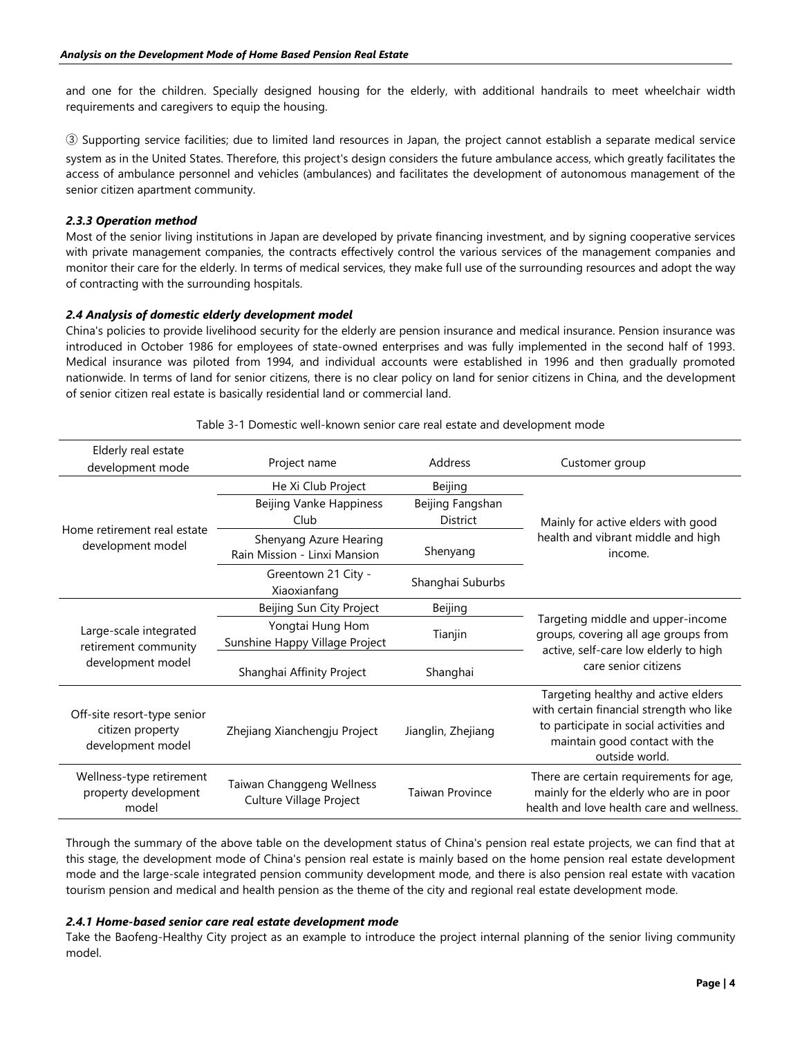and one for the children. Specially designed housing for the elderly, with additional handrails to meet wheelchair width requirements and caregivers to equip the housing.

③ Supporting service facilities; due to limited land resources in Japan, the project cannot establish a separate medical service system as in the United States. Therefore, this project's design considers the future ambulance access, which greatly facilitates the access of ambulance personnel and vehicles (ambulances) and facilitates the development of autonomous management of the senior citizen apartment community.

## *2.3.3 Operation method*

Most of the senior living institutions in Japan are developed by private financing investment, and by signing cooperative services with private management companies, the contracts effectively control the various services of the management companies and monitor their care for the elderly. In terms of medical services, they make full use of the surrounding resources and adopt the way of contracting with the surrounding hospitals.

# *2.4 Analysis of domestic elderly development model*

China's policies to provide livelihood security for the elderly are pension insurance and medical insurance. Pension insurance was introduced in October 1986 for employees of state-owned enterprises and was fully implemented in the second half of 1993. Medical insurance was piloted from 1994, and individual accounts were established in 1996 and then gradually promoted nationwide. In terms of land for senior citizens, there is no clear policy on land for senior citizens in China, and the development of senior citizen real estate is basically residential land or commercial land.

| Elderly real estate<br>development mode                              | Project name                                           | Address                             | Customer group                                                                                                                                                                 |
|----------------------------------------------------------------------|--------------------------------------------------------|-------------------------------------|--------------------------------------------------------------------------------------------------------------------------------------------------------------------------------|
| Home retirement real estate<br>development model                     | He Xi Club Project                                     | Beijing                             | Mainly for active elders with good<br>health and vibrant middle and high<br>income.                                                                                            |
|                                                                      | <b>Beijing Vanke Happiness</b><br>Club                 | Beijing Fangshan<br><b>District</b> |                                                                                                                                                                                |
|                                                                      | Shenyang Azure Hearing<br>Rain Mission - Linxi Mansion | Shenyang                            |                                                                                                                                                                                |
|                                                                      | Greentown 21 City -<br>Xiaoxianfang                    | Shanghai Suburbs                    |                                                                                                                                                                                |
| Large-scale integrated<br>retirement community<br>development model  | Beijing Sun City Project                               | Beijing                             | Targeting middle and upper-income<br>groups, covering all age groups from<br>active, self-care low elderly to high<br>care senior citizens                                     |
|                                                                      | Yongtai Hung Hom<br>Sunshine Happy Village Project     | Tianjin                             |                                                                                                                                                                                |
|                                                                      | Shanghai Affinity Project                              | Shanghai                            |                                                                                                                                                                                |
| Off-site resort-type senior<br>citizen property<br>development model | Zhejiang Xianchengju Project                           | Jianglin, Zhejiang                  | Targeting healthy and active elders<br>with certain financial strength who like<br>to participate in social activities and<br>maintain good contact with the<br>outside world. |
| Wellness-type retirement<br>property development<br>model            | Taiwan Changgeng Wellness<br>Culture Village Project   | <b>Taiwan Province</b>              | There are certain requirements for age,<br>mainly for the elderly who are in poor<br>health and love health care and wellness.                                                 |

Table 3-1 Domestic well-known senior care real estate and development mode

Through the summary of the above table on the development status of China's pension real estate projects, we can find that at this stage, the development mode of China's pension real estate is mainly based on the home pension real estate development mode and the large-scale integrated pension community development mode, and there is also pension real estate with vacation tourism pension and medical and health pension as the theme of the city and regional real estate development mode.

## *2.4.1 Home-based senior care real estate development mode*

Take the Baofeng-Healthy City project as an example to introduce the project internal planning of the senior living community model.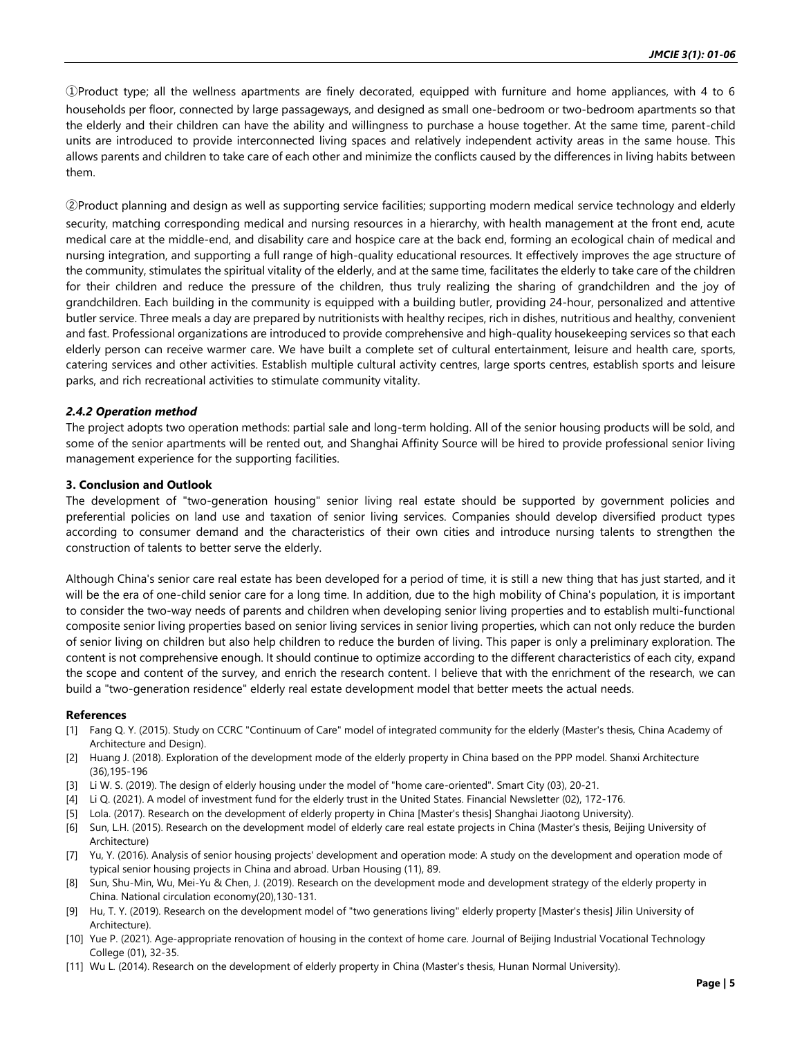①Product type; all the wellness apartments are finely decorated, equipped with furniture and home appliances, with 4 to 6 households per floor, connected by large passageways, and designed as small one-bedroom or two-bedroom apartments so that the elderly and their children can have the ability and willingness to purchase a house together. At the same time, parent-child units are introduced to provide interconnected living spaces and relatively independent activity areas in the same house. This allows parents and children to take care of each other and minimize the conflicts caused by the differences in living habits between them.

②Product planning and design as well as supporting service facilities; supporting modern medical service technology and elderly security, matching corresponding medical and nursing resources in a hierarchy, with health management at the front end, acute medical care at the middle-end, and disability care and hospice care at the back end, forming an ecological chain of medical and nursing integration, and supporting a full range of high-quality educational resources. It effectively improves the age structure of the community, stimulates the spiritual vitality of the elderly, and at the same time, facilitates the elderly to take care of the children for their children and reduce the pressure of the children, thus truly realizing the sharing of grandchildren and the joy of grandchildren. Each building in the community is equipped with a building butler, providing 24-hour, personalized and attentive butler service. Three meals a day are prepared by nutritionists with healthy recipes, rich in dishes, nutritious and healthy, convenient and fast. Professional organizations are introduced to provide comprehensive and high-quality housekeeping services so that each elderly person can receive warmer care. We have built a complete set of cultural entertainment, leisure and health care, sports, catering services and other activities. Establish multiple cultural activity centres, large sports centres, establish sports and leisure parks, and rich recreational activities to stimulate community vitality.

#### *2.4.2 Operation method*

The project adopts two operation methods: partial sale and long-term holding. All of the senior housing products will be sold, and some of the senior apartments will be rented out, and Shanghai Affinity Source will be hired to provide professional senior living management experience for the supporting facilities.

#### **3. Conclusion and Outlook**

The development of "two-generation housing" senior living real estate should be supported by government policies and preferential policies on land use and taxation of senior living services. Companies should develop diversified product types according to consumer demand and the characteristics of their own cities and introduce nursing talents to strengthen the construction of talents to better serve the elderly.

Although China's senior care real estate has been developed for a period of time, it is still a new thing that has just started, and it will be the era of one-child senior care for a long time. In addition, due to the high mobility of China's population, it is important to consider the two-way needs of parents and children when developing senior living properties and to establish multi-functional composite senior living properties based on senior living services in senior living properties, which can not only reduce the burden of senior living on children but also help children to reduce the burden of living. This paper is only a preliminary exploration. The content is not comprehensive enough. It should continue to optimize according to the different characteristics of each city, expand the scope and content of the survey, and enrich the research content. I believe that with the enrichment of the research, we can build a "two-generation residence" elderly real estate development model that better meets the actual needs.

#### **References**

- [1] Fang Q. Y. (2015). Study on CCRC "Continuum of Care" model of integrated community for the elderly (Master's thesis, China Academy of Architecture and Design).
- [2] Huang J. (2018). Exploration of the development mode of the elderly property in China based on the PPP model. Shanxi Architecture (36),195-196
- [3] Li W. S. (2019). The design of elderly housing under the model of "home care-oriented". Smart City (03), 20-21.
- [4] Li Q. (2021). A model of investment fund for the elderly trust in the United States. Financial Newsletter (02), 172-176.
- [5] Lola. (2017). Research on the development of elderly property in China [Master's thesis] Shanghai Jiaotong University).
- [6] Sun, L.H. (2015). Research on the development model of elderly care real estate projects in China (Master's thesis, Beijing University of Architecture)
- [7] Yu, Y. (2016). Analysis of senior housing projects' development and operation mode: A study on the development and operation mode of typical senior housing projects in China and abroad. Urban Housing (11), 89.
- [8] Sun, Shu-Min, Wu, Mei-Yu & Chen, J. (2019). Research on the development mode and development strategy of the elderly property in China. National circulation economy(20),130-131.
- [9] Hu, T. Y. (2019). Research on the development model of "two generations living" elderly property [Master's thesis] Jilin University of Architecture).
- [10] Yue P. (2021). Age-appropriate renovation of housing in the context of home care. Journal of Beijing Industrial Vocational Technology College (01), 32-35.
- [11] Wu L. (2014). Research on the development of elderly property in China (Master's thesis, Hunan Normal University).